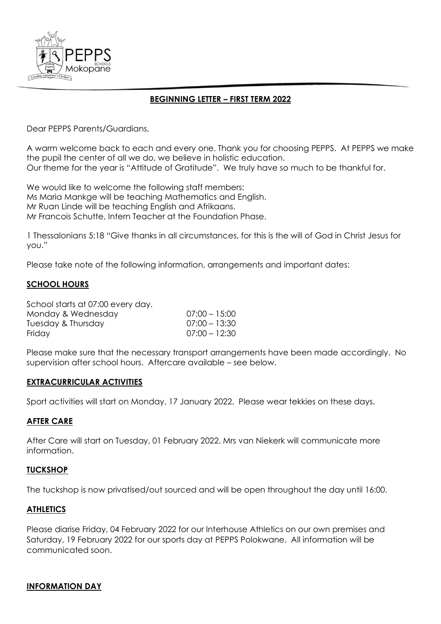

# **BEGINNING LETTER – FIRST TERM 2022**

Dear PEPPS Parents/Guardians,

A warm welcome back to each and every one. Thank you for choosing PEPPS. At PEPPS we make the pupil the center of all we do, we believe in holistic education. Our theme for the year is "Attitude of Gratitude". We truly have so much to be thankful for.

We would like to welcome the following staff members: Ms Maria Mankge will be teaching Mathematics and English. Mr Ruan Linde will be teaching English and Afrikaans. Mr Francois Schutte, Intern Teacher at the Foundation Phase.

1 Thessalonians 5:18 "Give thanks in all circumstances, for this is the will of God in Christ Jesus for you."

Please take note of the following information, arrangements and important dates:

### **SCHOOL HOURS**

| School starts at 07:00 every day. |                 |
|-----------------------------------|-----------------|
| Monday & Wednesday                | $07:00 - 15:00$ |
| Tuesday & Thursday                | $07:00 - 13:30$ |
| Friday                            | $07:00 - 12:30$ |
|                                   |                 |

Please make sure that the necessary transport arrangements have been made accordingly. No supervision after school hours. Aftercare available – see below.

#### **EXTRACURRICULAR ACTIVITIES**

Sport activities will start on Monday, 17 January 2022. Please wear tekkies on these days.

# **AFTER CARE**

After Care will start on Tuesday, 01 February 2022. Mrs van Niekerk will communicate more information.

#### **TUCKSHOP**

The tuckshop is now privatised/out sourced and will be open throughout the day until 16:00.

# **ATHLETICS**

Please diarise Friday, 04 February 2022 for our Interhouse Athletics on our own premises and Saturday, 19 February 2022 for our sports day at PEPPS Polokwane. All information will be communicated soon.

#### **INFORMATION DAY**